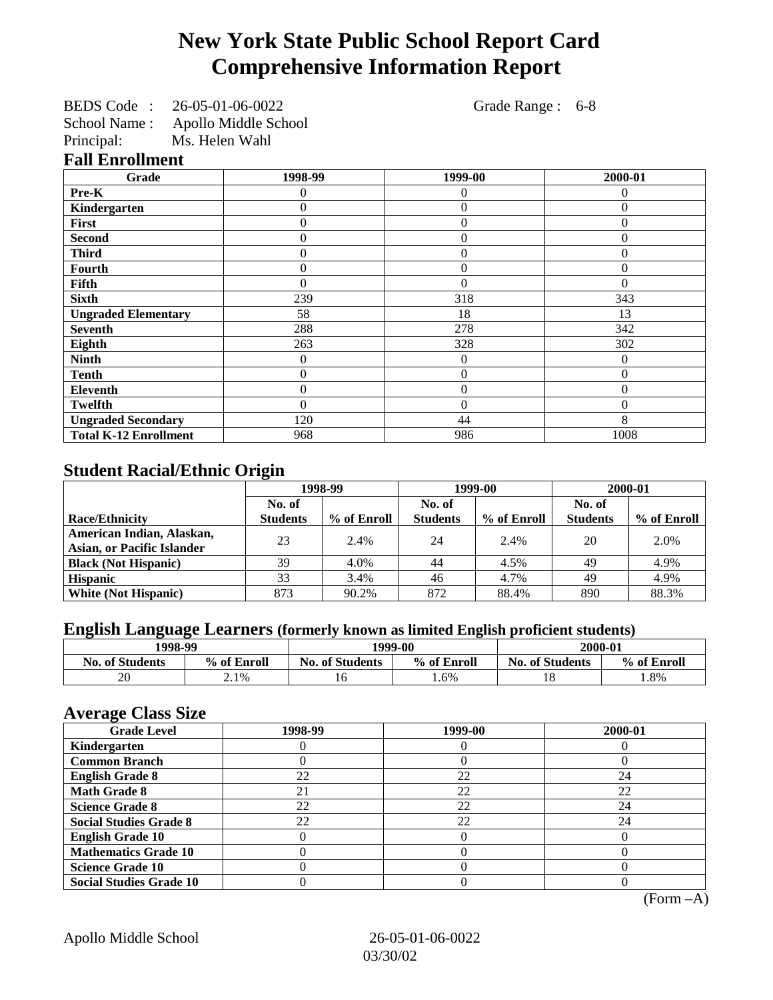## **New York State Public School Report Card Comprehensive Information Report**

BEDS Code : 26-05-01-06-0022 Grade Range : 6-8 School Name : Apollo Middle School

Principal: Ms. Helen Wahl **Fall Enrollment**

| Grade                        | 1998-99        | 1999-00          | 2000-01        |
|------------------------------|----------------|------------------|----------------|
| Pre-K                        | 0              | 0                | 0              |
| Kindergarten                 | 0              | $\theta$         | $\theta$       |
| First                        | 0              | $\overline{0}$   | $\theta$       |
| <b>Second</b>                | 0              | $\theta$         | $\theta$       |
| <b>Third</b>                 | 0              | $\overline{0}$   | 0              |
| Fourth                       | 0              | $\boldsymbol{0}$ | $\overline{0}$ |
| Fifth                        | $\overline{0}$ | $\theta$         | $\theta$       |
| <b>Sixth</b>                 | 239            | 318              | 343            |
| <b>Ungraded Elementary</b>   | 58             | 18               | 13             |
| <b>Seventh</b>               | 288            | 278              | 342            |
| Eighth                       | 263            | 328              | 302            |
| <b>Ninth</b>                 | 0              | $\theta$         | $\Omega$       |
| <b>Tenth</b>                 | 0              | $\overline{0}$   | $\theta$       |
| <b>Eleventh</b>              | 0              | $\overline{0}$   | $\Omega$       |
| <b>Twelfth</b>               | $\theta$       | $\overline{0}$   | $\theta$       |
| <b>Ungraded Secondary</b>    | 120            | 44               | 8              |
| <b>Total K-12 Enrollment</b> | 968            | 986              | 1008           |

## **Student Racial/Ethnic Origin**

|                                   | 1998-99         |             |                 | 1999-00     | 2000-01         |             |
|-----------------------------------|-----------------|-------------|-----------------|-------------|-----------------|-------------|
|                                   | No. of          |             |                 |             | No. of          |             |
| Race/Ethnicity                    | <b>Students</b> | % of Enroll | <b>Students</b> | % of Enroll | <b>Students</b> | % of Enroll |
| American Indian, Alaskan,         | 23              | 2.4%        | 24              | 2.4%        | 20              | 2.0%        |
| <b>Asian, or Pacific Islander</b> |                 |             |                 |             |                 |             |
| <b>Black (Not Hispanic)</b>       | 39              | 4.0%        | 44              | 4.5%        | 49              | 4.9%        |
| <b>Hispanic</b>                   | 33              | 3.4%        | 46              | 4.7%        | 49              | 4.9%        |
| <b>White (Not Hispanic)</b>       | 873             | 90.2%       | 872             | 88.4%       | 890             | 88.3%       |

## **English Language Learners (formerly known as limited English proficient students)**

| 1998-99                |             | 1999-00                               |      | 2000-01                |             |  |
|------------------------|-------------|---------------------------------------|------|------------------------|-------------|--|
| <b>No. of Students</b> | % of Enroll | % of Enroll<br><b>No. of Students</b> |      | <b>No. of Students</b> | % of Enroll |  |
| 20                     | 2.1%        | 10                                    | 1.6% |                        | .8%         |  |

### **Average Class Size**

| $-5$<br><b>Grade Level</b>     | 1998-99 | 1999-00 | 2000-01 |
|--------------------------------|---------|---------|---------|
| Kindergarten                   |         |         |         |
| <b>Common Branch</b>           |         |         |         |
| <b>English Grade 8</b>         | 22      | 22      | 24      |
| <b>Math Grade 8</b>            | 21      | 22      | 22      |
| <b>Science Grade 8</b>         | 22      | 22      | 24      |
| <b>Social Studies Grade 8</b>  | 22      | 22      | 24      |
| <b>English Grade 10</b>        |         |         |         |
| <b>Mathematics Grade 10</b>    |         |         |         |
| <b>Science Grade 10</b>        |         |         |         |
| <b>Social Studies Grade 10</b> |         |         |         |

(Form –A)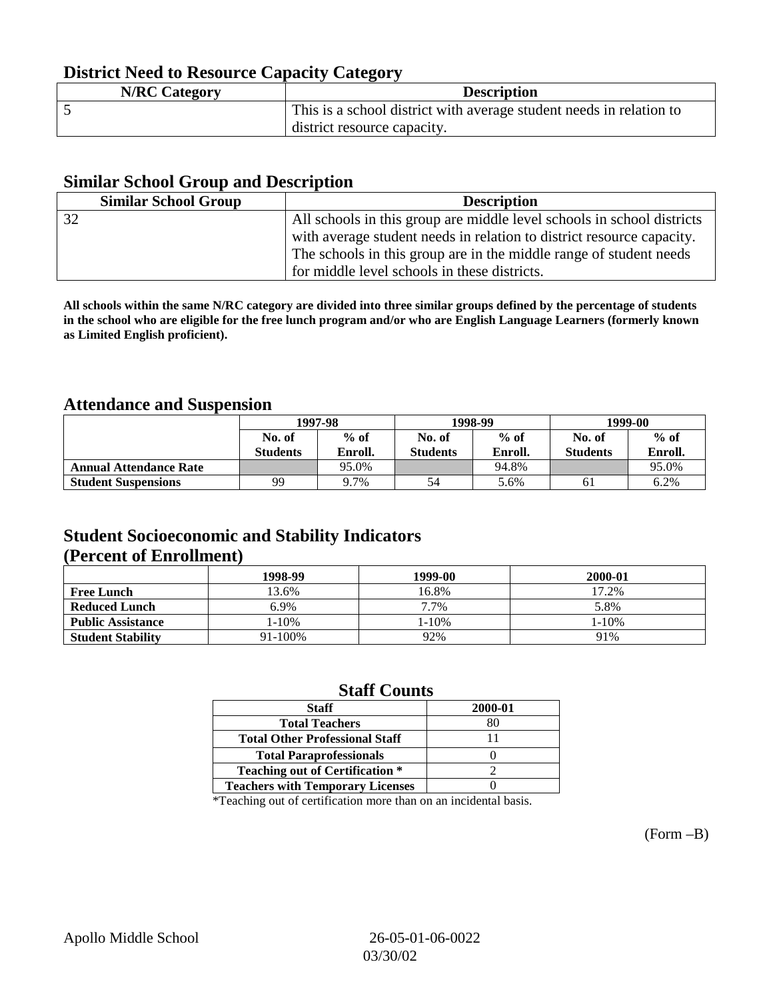## **District Need to Resource Capacity Category**

| <b>N/RC Category</b> | <b>Description</b>                                                  |
|----------------------|---------------------------------------------------------------------|
|                      | This is a school district with average student needs in relation to |
|                      | district resource capacity.                                         |

### **Similar School Group and Description**

| <b>Similar School Group</b> | <b>Description</b>                                                     |
|-----------------------------|------------------------------------------------------------------------|
| 32                          | All schools in this group are middle level schools in school districts |
|                             | with average student needs in relation to district resource capacity.  |
|                             | The schools in this group are in the middle range of student needs     |
|                             | for middle level schools in these districts.                           |

**All schools within the same N/RC category are divided into three similar groups defined by the percentage of students in the school who are eligible for the free lunch program and/or who are English Language Learners (formerly known as Limited English proficient).**

## **Attendance and Suspension**

|                               |                 | 1997-98<br>$%$ of<br>No. of |                 | 1998-99 | 1999-00         |         |
|-------------------------------|-----------------|-----------------------------|-----------------|---------|-----------------|---------|
|                               |                 |                             |                 | $%$ of  | No. of          | $%$ of  |
|                               | <b>Students</b> | Enroll.                     | <b>Students</b> | Enroll. | <b>Students</b> | Enroll. |
| <b>Annual Attendance Rate</b> |                 | 95.0%                       |                 | 94.8%   |                 | 95.0%   |
| <b>Student Suspensions</b>    | 99              | 9.7%                        | 54              | 5.6%    | 61              | 6.2%    |

## **Student Socioeconomic and Stability Indicators (Percent of Enrollment)**

|                          | 1998-99 | 1999-00 | 2000-01 |
|--------------------------|---------|---------|---------|
| <b>Free Lunch</b>        | 13.6%   | 16.8%   | 17.2%   |
| <b>Reduced Lunch</b>     | 6.9%    | 7.7%    | 5.8%    |
| <b>Public Assistance</b> | l-10%   | 1-10%   | 1-10%   |
| <b>Student Stability</b> | 91-100% | 92%     | 91%     |

### **Staff Counts**

| <b>Staff</b>                            | 2000-01 |
|-----------------------------------------|---------|
| <b>Total Teachers</b>                   |         |
| <b>Total Other Professional Staff</b>   |         |
| <b>Total Paraprofessionals</b>          |         |
| <b>Teaching out of Certification *</b>  |         |
| <b>Teachers with Temporary Licenses</b> |         |

\*Teaching out of certification more than on an incidental basis.

(Form –B)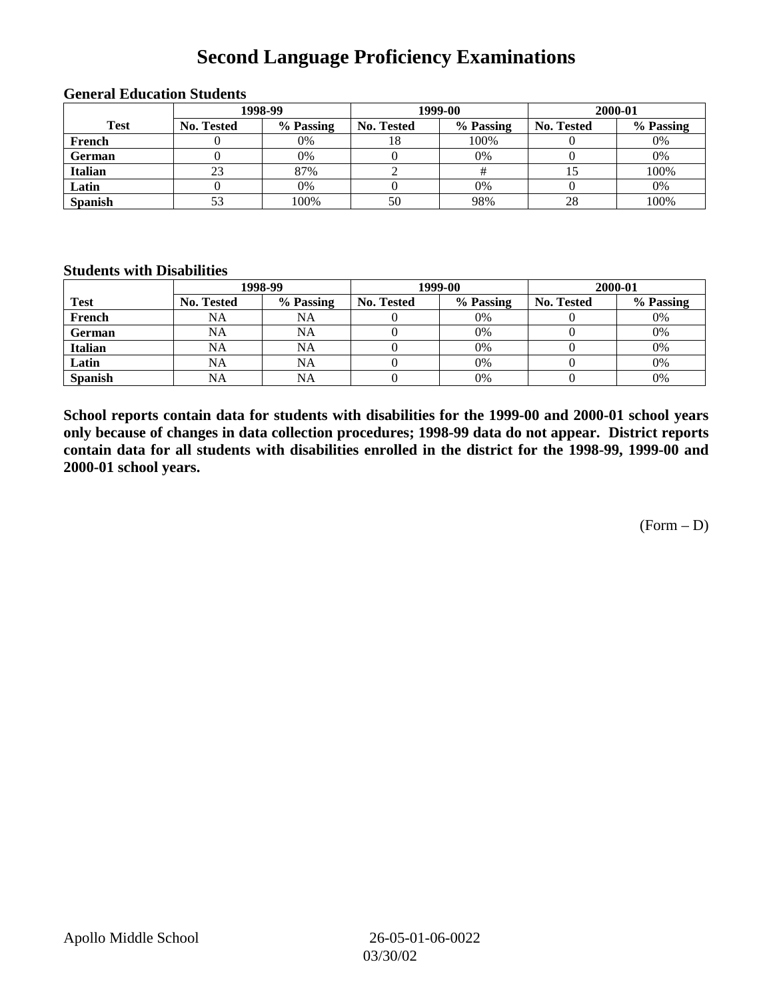## **Second Language Proficiency Examinations**

|                |            | 1998-99   |                   | 1999-00   | 2000-01    |           |  |
|----------------|------------|-----------|-------------------|-----------|------------|-----------|--|
| <b>Test</b>    | No. Tested | % Passing | <b>No. Tested</b> | % Passing | No. Tested | % Passing |  |
| French         |            | 0%        | 18                | 100%      |            | 0%        |  |
| <b>German</b>  |            | 0%        |                   | 0%        |            | 0%        |  |
| <b>Italian</b> | 23         | 87%       |                   |           |            | 100%      |  |
| Latin          |            | 0%        |                   | 0%        |            | 0%        |  |
| <b>Spanish</b> |            | 100%      | 50                | 98%       | 28         | 100%      |  |

#### **General Education Students**

#### **Students with Disabilities**

|                | 1998-99    |           |                   | 1999-00   | 2000-01           |           |  |
|----------------|------------|-----------|-------------------|-----------|-------------------|-----------|--|
| <b>Test</b>    | No. Tested | % Passing | <b>No. Tested</b> | % Passing | <b>No. Tested</b> | % Passing |  |
| French         | NA         | <b>NA</b> |                   | 0%        |                   | 0%        |  |
| German         | NA         | <b>NA</b> |                   | 0%        |                   | 0%        |  |
| <b>Italian</b> | <b>NA</b>  | <b>NA</b> |                   | 0%        |                   | 0%        |  |
| Latin          | <b>NA</b>  | NA        |                   | 0%        |                   | 0%        |  |
| <b>Spanish</b> | <b>NA</b>  | <b>NA</b> |                   | 0%        |                   | 0%        |  |

**School reports contain data for students with disabilities for the 1999-00 and 2000-01 school years only because of changes in data collection procedures; 1998-99 data do not appear. District reports contain data for all students with disabilities enrolled in the district for the 1998-99, 1999-00 and 2000-01 school years.**

 $(Form - D)$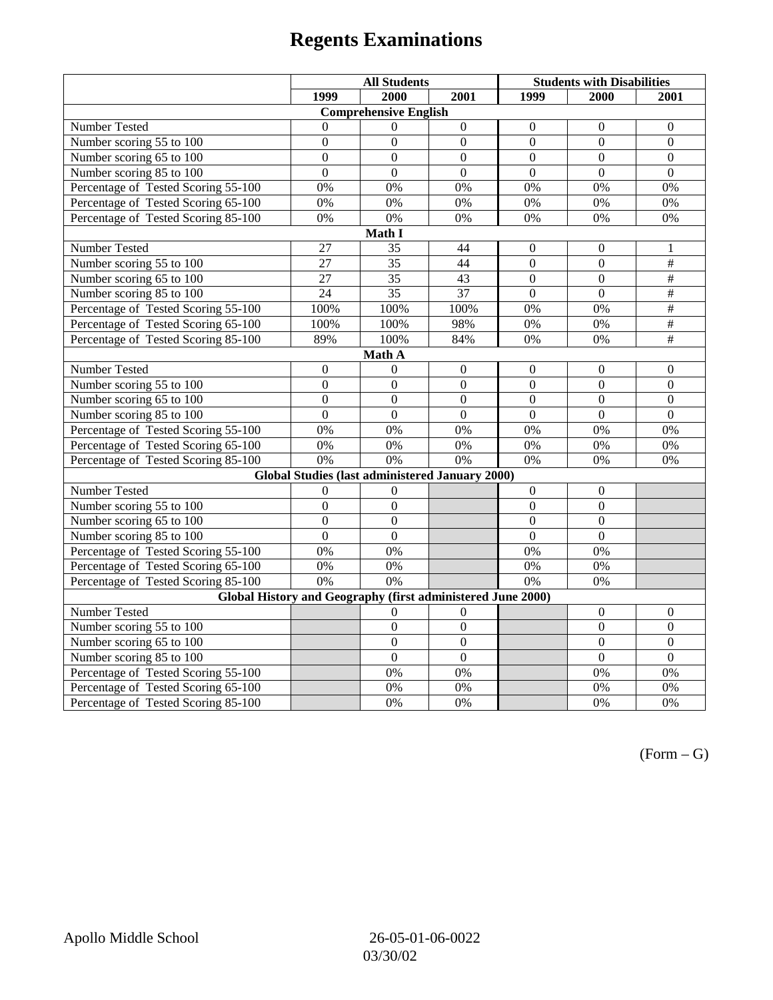# **Regents Examinations**

|                                                                            | <b>All Students</b> |                                                        |                  | <b>Students with Disabilities</b> |                  |                          |  |  |
|----------------------------------------------------------------------------|---------------------|--------------------------------------------------------|------------------|-----------------------------------|------------------|--------------------------|--|--|
|                                                                            | 1999                | 2000                                                   | 2001             | 1999                              | 2000             | 2001                     |  |  |
|                                                                            |                     | <b>Comprehensive English</b>                           |                  |                                   |                  |                          |  |  |
| Number Tested                                                              | $\theta$            | $\Omega$                                               | $\boldsymbol{0}$ | $\Omega$                          | $\Omega$         | $\mathbf{0}$             |  |  |
| Number scoring $55 \overline{\text{to } 100}$                              | $\mathbf{0}$        | $\mathbf{0}$                                           | $\Omega$         | $\Omega$                          | $\Omega$         | $\Omega$                 |  |  |
| Number scoring 65 to 100                                                   | $\overline{0}$      | $\overline{0}$                                         | $\overline{0}$   | $\overline{0}$                    | $\overline{0}$   | $\boldsymbol{0}$         |  |  |
| Number scoring 85 to 100                                                   | $\overline{0}$      | $\overline{0}$                                         | $\Omega$         | $\overline{0}$                    | $\overline{0}$   | $\overline{0}$           |  |  |
| Percentage of Tested Scoring 55-100                                        | 0%                  | 0%                                                     | 0%               | 0%                                | 0%               | 0%                       |  |  |
| Percentage of Tested Scoring 65-100                                        | 0%                  | 0%                                                     | 0%               | 0%                                | 0%               | 0%                       |  |  |
| Percentage of Tested Scoring 85-100                                        | 0%                  | 0%                                                     | 0%               | 0%                                | 0%               | 0%                       |  |  |
|                                                                            |                     | Math I                                                 |                  |                                   |                  |                          |  |  |
| Number Tested<br>27<br>35<br>44<br>$\overline{0}$<br>$\boldsymbol{0}$<br>1 |                     |                                                        |                  |                                   |                  |                          |  |  |
| Number scoring 55 to 100                                                   | $\overline{27}$     | $\overline{35}$                                        | 44               | $\overline{0}$                    | $\overline{0}$   | $\overline{+}$           |  |  |
| Number scoring 65 to 100                                                   | 27                  | 35                                                     | 43               | $\mathbf{0}$                      | $\mathbf{0}$     | $\#$                     |  |  |
| Number scoring 85 to 100                                                   | 24                  | $\overline{35}$                                        | 37               | $\overline{0}$                    | $\overline{0}$   | $\overline{\overline{}}$ |  |  |
| Percentage of Tested Scoring 55-100                                        | 100%                | 100%                                                   | 100%             | 0%                                | 0%               | $\overline{\#}$          |  |  |
| Percentage of Tested Scoring 65-100                                        | 100%                | 100%                                                   | 98%              | 0%                                | 0%               | $\overline{\overline{}}$ |  |  |
| Percentage of Tested Scoring 85-100                                        | 89%                 | 100%                                                   | 84%              | 0%                                | 0%               | $\overline{+}$           |  |  |
|                                                                            |                     | Math A                                                 |                  |                                   |                  |                          |  |  |
| Number Tested                                                              | $\boldsymbol{0}$    | $\theta$                                               | $\boldsymbol{0}$ | $\boldsymbol{0}$                  | $\boldsymbol{0}$ | $\boldsymbol{0}$         |  |  |
| Number scoring $5\overline{5}$ to $100$                                    | $\mathbf{0}$        | $\mathbf{0}$                                           | $\overline{0}$   | $\overline{0}$                    | $\mathbf{0}$     | $\mathbf{0}$             |  |  |
| Number scoring 65 to 100                                                   | $\mathbf{0}$        | $\mathbf{0}$                                           | $\overline{0}$   | $\overline{0}$                    | $\mathbf{0}$     | $\mathbf{0}$             |  |  |
| Number scoring 85 to 100                                                   | $\overline{0}$      | $\overline{0}$                                         | $\overline{0}$   | $\overline{0}$                    | $\overline{0}$   | $\mathbf{0}$             |  |  |
| Percentage of Tested Scoring 55-100                                        | 0%                  | 0%                                                     | 0%               | 0%                                | 0%               | 0%                       |  |  |
| Percentage of Tested Scoring 65-100                                        | 0%                  | 0%                                                     | 0%               | 0%                                | 0%               | 0%                       |  |  |
| Percentage of Tested Scoring 85-100                                        | 0%                  | 0%                                                     | 0%               | $0\%$                             | 0%               | 0%                       |  |  |
|                                                                            |                     | <b>Global Studies (last administered January 2000)</b> |                  |                                   |                  |                          |  |  |
| Number Tested                                                              | $\boldsymbol{0}$    | 0                                                      |                  | $\mathbf{0}$                      | $\boldsymbol{0}$ |                          |  |  |
| Number scoring 55 to 100                                                   | $\mathbf{0}$        | $\mathbf{0}$                                           |                  | $\overline{0}$                    | $\overline{0}$   |                          |  |  |
| Number scoring 65 to 100                                                   | $\overline{0}$      | $\overline{0}$                                         |                  | $\overline{0}$                    | $\mathbf{0}$     |                          |  |  |
| Number scoring 85 to 100                                                   | $\overline{0}$      | $\overline{0}$                                         |                  | $\overline{0}$                    | $\overline{0}$   |                          |  |  |
| Percentage of Tested Scoring 55-100                                        | 0%                  | 0%                                                     |                  | 0%                                | 0%               |                          |  |  |
| Percentage of Tested Scoring 65-100                                        | 0%                  | 0%                                                     |                  | 0%                                | 0%               |                          |  |  |
| Percentage of Tested Scoring 85-100                                        | 0%                  | 0%                                                     |                  | 0%                                | 0%               |                          |  |  |
| Global History and Geography (first administered June 2000)                |                     |                                                        |                  |                                   |                  |                          |  |  |
| Number Tested                                                              |                     | $\theta$                                               | $\overline{0}$   |                                   | $\theta$         | $\mathbf{0}$             |  |  |
| Number scoring 55 to 100                                                   |                     | $\mathbf{0}$                                           | $\overline{0}$   |                                   | $\mathbf{0}$     | $\boldsymbol{0}$         |  |  |
| Number scoring 65 to 100                                                   |                     | $\overline{0}$                                         | $\overline{0}$   |                                   | $\overline{0}$   | $\boldsymbol{0}$         |  |  |
| Number scoring 85 to 100                                                   |                     | $\overline{0}$                                         | $\overline{0}$   |                                   | $\overline{0}$   | $\mathbf{0}$             |  |  |
| Percentage of Tested Scoring 55-100                                        |                     | 0%                                                     | 0%               |                                   | 0%               | 0%                       |  |  |
| Percentage of Tested Scoring 65-100                                        |                     | 0%                                                     | 0%               |                                   | $0\%$            | $0\%$                    |  |  |
| Percentage of Tested Scoring 85-100                                        |                     | 0%                                                     | 0%               |                                   | 0%               | 0%                       |  |  |

 $(Form - G)$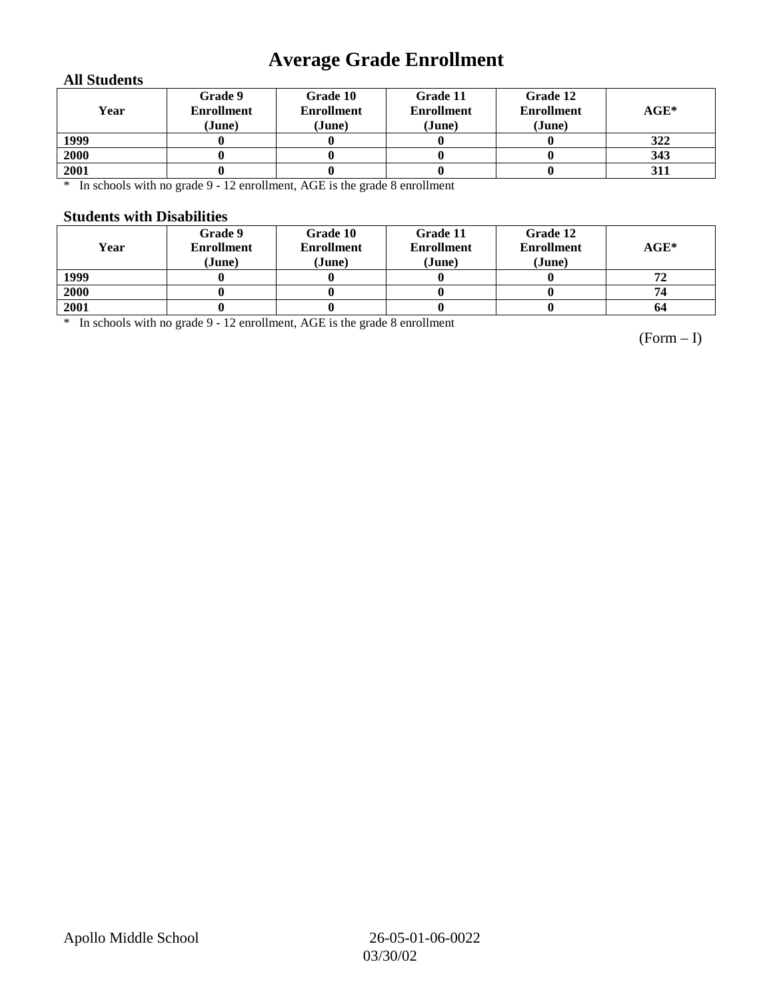## **Average Grade Enrollment**

### **All Students**

| Year | Grade 9<br><b>Enrollment</b><br>(June) | Grade 10<br><b>Enrollment</b><br>(June) | Grade 11<br><b>Enrollment</b><br>(June) | Grade 12<br><b>Enrollment</b><br>(June) | $AGE^*$ |
|------|----------------------------------------|-----------------------------------------|-----------------------------------------|-----------------------------------------|---------|
| 1999 |                                        |                                         |                                         |                                         | 322     |
| 2000 |                                        |                                         |                                         |                                         | 343     |
| 2001 |                                        |                                         |                                         |                                         | 311     |

\* In schools with no grade 9 - 12 enrollment, AGE is the grade 8 enrollment

#### **Students with Disabilities**

| Year | Grade 9<br><b>Enrollment</b><br>(June) | Grade 10<br><b>Enrollment</b><br>(June) | Grade 11<br><b>Enrollment</b><br>(June) | Grade 12<br><b>Enrollment</b><br>(June) | $\mathbf{AGE}^*$ |
|------|----------------------------------------|-----------------------------------------|-----------------------------------------|-----------------------------------------|------------------|
| 1999 |                                        |                                         |                                         |                                         |                  |
| 2000 |                                        |                                         |                                         |                                         | 74               |
| 2001 |                                        |                                         |                                         |                                         | 64               |

\* In schools with no grade 9 - 12 enrollment, AGE is the grade 8 enrollment

(Form – I)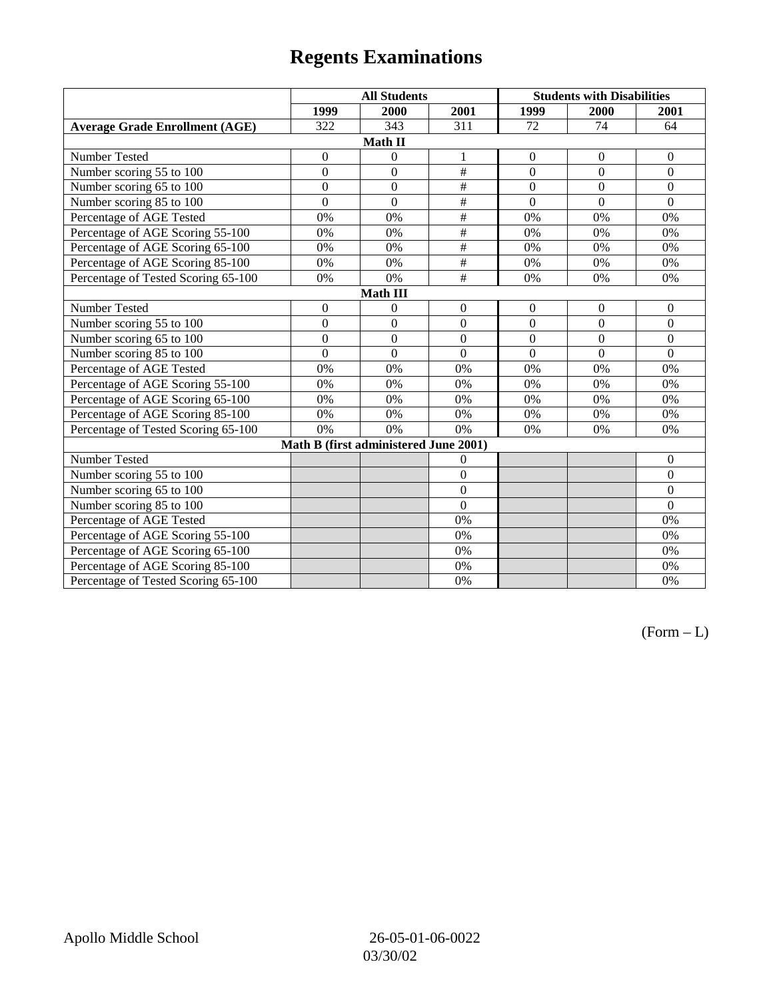# **Regents Examinations**

|                                       | <b>All Students</b> |                  |                  | <b>Students with Disabilities</b> |                |                  |  |  |
|---------------------------------------|---------------------|------------------|------------------|-----------------------------------|----------------|------------------|--|--|
|                                       | 1999                | 2000             | 2001             | 1999                              | 2000           | 2001             |  |  |
| <b>Average Grade Enrollment (AGE)</b> | 322                 | 343              | 311              | 72                                | 74             | 64               |  |  |
| Math II                               |                     |                  |                  |                                   |                |                  |  |  |
| Number Tested                         | $\boldsymbol{0}$    | $\boldsymbol{0}$ | 1                | $\boldsymbol{0}$                  | $\mathbf{0}$   | $\boldsymbol{0}$ |  |  |
| Number scoring 55 to 100              | $\overline{0}$      | $\overline{0}$   | $\#$             | $\overline{0}$                    | $\overline{0}$ | $\overline{0}$   |  |  |
| Number scoring 65 to 100              | $\mathbf{0}$        | $\mathbf{0}$     | $\#$             | $\overline{0}$                    | $\mathbf{0}$   | $\overline{0}$   |  |  |
| Number scoring 85 to 100              | $\overline{0}$      | $\overline{0}$   | $\overline{\#}$  | $\overline{0}$                    | $\overline{0}$ | $\overline{0}$   |  |  |
| Percentage of AGE Tested              | 0%                  | 0%               | $\#$             | 0%                                | 0%             | 0%               |  |  |
| Percentage of AGE Scoring 55-100      | 0%                  | 0%               | $\overline{\#}$  | 0%                                | 0%             | 0%               |  |  |
| Percentage of AGE Scoring 65-100      | 0%                  | 0%               | $\#$             | 0%                                | 0%             | 0%               |  |  |
| Percentage of AGE Scoring 85-100      | 0%                  | 0%               | $\overline{\#}$  | 0%                                | 0%             | 0%               |  |  |
| Percentage of Tested Scoring 65-100   | 0%                  | 0%               | $\overline{\#}$  | 0%                                | 0%             | 0%               |  |  |
|                                       |                     | <b>Math III</b>  |                  |                                   |                |                  |  |  |
| Number Tested                         | $\boldsymbol{0}$    | $\boldsymbol{0}$ | $\boldsymbol{0}$ | $\boldsymbol{0}$                  | $\mathbf{0}$   | $\overline{0}$   |  |  |
| Number scoring 55 to 100              | $\overline{0}$      | $\overline{0}$   | $\overline{0}$   | $\overline{0}$                    | $\overline{0}$ | $\overline{0}$   |  |  |
| Number scoring 65 to 100              | $\mathbf{0}$        | $\mathbf{0}$     | $\overline{0}$   | $\overline{0}$                    | $\mathbf{0}$   | $\overline{0}$   |  |  |
| Number scoring 85 to 100              | $\overline{0}$      | $\overline{0}$   | $\overline{0}$   | $\overline{0}$                    | $\overline{0}$ | $\overline{0}$   |  |  |
| Percentage of AGE Tested              | 0%                  | 0%               | 0%               | 0%                                | 0%             | 0%               |  |  |
| Percentage of AGE Scoring 55-100      | 0%                  | 0%               | 0%               | 0%                                | 0%             | 0%               |  |  |
| Percentage of AGE Scoring 65-100      | 0%                  | 0%               | 0%               | 0%                                | 0%             | 0%               |  |  |
| Percentage of AGE Scoring 85-100      | 0%                  | 0%               | 0%               | 0%                                | 0%             | 0%               |  |  |
| Percentage of Tested Scoring 65-100   | 0%                  | 0%               | 0%               | 0%                                | 0%             | 0%               |  |  |
| Math B (first administered June 2001) |                     |                  |                  |                                   |                |                  |  |  |
| Number Tested                         |                     |                  | $\theta$         |                                   |                | $\mathbf{0}$     |  |  |
| Number scoring 55 to 100              |                     |                  | $\overline{0}$   |                                   |                | $\overline{0}$   |  |  |
| Number scoring 65 to 100              |                     |                  | $\theta$         |                                   |                | $\Omega$         |  |  |
| Number scoring 85 to 100              |                     |                  | $\overline{0}$   |                                   |                | $\overline{0}$   |  |  |
| Percentage of AGE Tested              |                     |                  | 0%               |                                   |                | 0%               |  |  |
| Percentage of AGE Scoring 55-100      |                     |                  | 0%               |                                   |                | 0%               |  |  |
| Percentage of AGE Scoring 65-100      |                     |                  | 0%               |                                   |                | 0%               |  |  |
| Percentage of AGE Scoring 85-100      |                     |                  | 0%               |                                   |                | 0%               |  |  |
| Percentage of Tested Scoring 65-100   |                     |                  | 0%               |                                   |                | 0%               |  |  |

 $(Form - L)$